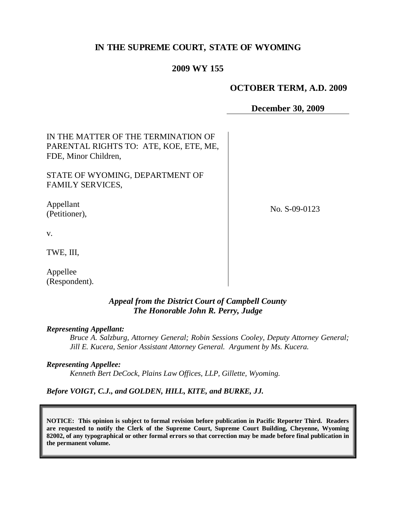# **IN THE SUPREME COURT, STATE OF WYOMING**

## **2009 WY 155**

## **OCTOBER TERM, A.D. 2009**

**December 30, 2009**

| IN THE MATTER OF THE TERMINATION OF<br>PARENTAL RIGHTS TO: ATE, KOE, ETE, ME,<br>FDE, Minor Children, |               |
|-------------------------------------------------------------------------------------------------------|---------------|
| STATE OF WYOMING, DEPARTMENT OF<br><b>FAMILY SERVICES,</b>                                            |               |
| Appellant<br>(Petitioner),                                                                            | No. S-09-0123 |
| V.                                                                                                    |               |
| TWE, III,                                                                                             |               |
| Appellee<br>(Respondent).                                                                             |               |

## *Appeal from the District Court of Campbell County The Honorable John R. Perry, Judge*

#### *Representing Appellant:*

*Bruce A. Salzburg, Attorney General; Robin Sessions Cooley, Deputy Attorney General; Jill E. Kucera, Senior Assistant Attorney General. Argument by Ms. Kucera.*

#### *Representing Appellee:*

*Kenneth Bert DeCock, Plains Law Offices, LLP, Gillette, Wyoming.*

*Before VOIGT, C.J., and GOLDEN, HILL, KITE, and BURKE, JJ.*

**NOTICE: This opinion is subject to formal revision before publication in Pacific Reporter Third. Readers are requested to notify the Clerk of the Supreme Court, Supreme Court Building, Cheyenne, Wyoming 82002, of any typographical or other formal errors so that correction may be made before final publication in the permanent volume.**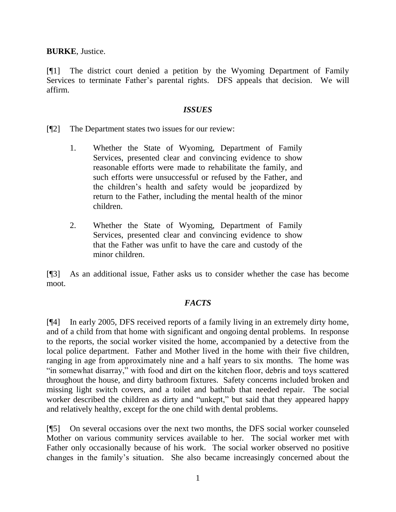**BURKE**, Justice.

[¶1] The district court denied a petition by the Wyoming Department of Family Services to terminate Father's parental rights. DFS appeals that decision. We will affirm.

## *ISSUES*

- [¶2] The Department states two issues for our review:
	- 1. Whether the State of Wyoming, Department of Family Services, presented clear and convincing evidence to show reasonable efforts were made to rehabilitate the family, and such efforts were unsuccessful or refused by the Father, and the children's health and safety would be jeopardized by return to the Father, including the mental health of the minor children.
	- 2. Whether the State of Wyoming, Department of Family Services, presented clear and convincing evidence to show that the Father was unfit to have the care and custody of the minor children.

[¶3] As an additional issue, Father asks us to consider whether the case has become moot.

# *FACTS*

[¶4] In early 2005, DFS received reports of a family living in an extremely dirty home, and of a child from that home with significant and ongoing dental problems. In response to the reports, the social worker visited the home, accompanied by a detective from the local police department. Father and Mother lived in the home with their five children, ranging in age from approximately nine and a half years to six months. The home was "in somewhat disarray," with food and dirt on the kitchen floor, debris and toys scattered throughout the house, and dirty bathroom fixtures. Safety concerns included broken and missing light switch covers, and a toilet and bathtub that needed repair. The social worker described the children as dirty and "unkept," but said that they appeared happy and relatively healthy, except for the one child with dental problems.

[¶5] On several occasions over the next two months, the DFS social worker counseled Mother on various community services available to her. The social worker met with Father only occasionally because of his work. The social worker observed no positive changes in the family's situation. She also became increasingly concerned about the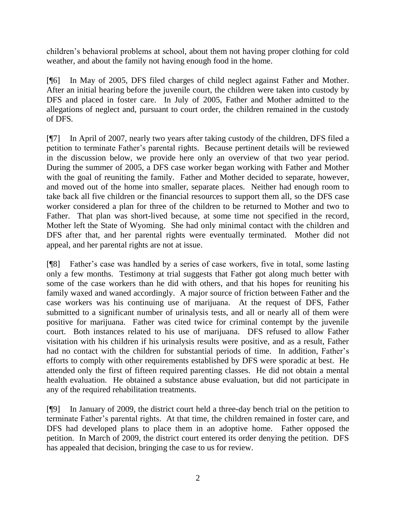children's behavioral problems at school, about them not having proper clothing for cold weather, and about the family not having enough food in the home.

[¶6] In May of 2005, DFS filed charges of child neglect against Father and Mother. After an initial hearing before the juvenile court, the children were taken into custody by DFS and placed in foster care. In July of 2005, Father and Mother admitted to the allegations of neglect and, pursuant to court order, the children remained in the custody of DFS.

[¶7] In April of 2007, nearly two years after taking custody of the children, DFS filed a petition to terminate Father's parental rights. Because pertinent details will be reviewed in the discussion below, we provide here only an overview of that two year period. During the summer of 2005, a DFS case worker began working with Father and Mother with the goal of reuniting the family. Father and Mother decided to separate, however, and moved out of the home into smaller, separate places. Neither had enough room to take back all five children or the financial resources to support them all, so the DFS case worker considered a plan for three of the children to be returned to Mother and two to Father. That plan was short-lived because, at some time not specified in the record, Mother left the State of Wyoming. She had only minimal contact with the children and DFS after that, and her parental rights were eventually terminated. Mother did not appeal, and her parental rights are not at issue.

[¶8] Father's case was handled by a series of case workers, five in total, some lasting only a few months. Testimony at trial suggests that Father got along much better with some of the case workers than he did with others, and that his hopes for reuniting his family waxed and waned accordingly. A major source of friction between Father and the case workers was his continuing use of marijuana. At the request of DFS, Father submitted to a significant number of urinalysis tests, and all or nearly all of them were positive for marijuana. Father was cited twice for criminal contempt by the juvenile court. Both instances related to his use of marijuana. DFS refused to allow Father visitation with his children if his urinalysis results were positive, and as a result, Father had no contact with the children for substantial periods of time. In addition, Father's efforts to comply with other requirements established by DFS were sporadic at best. He attended only the first of fifteen required parenting classes. He did not obtain a mental health evaluation. He obtained a substance abuse evaluation, but did not participate in any of the required rehabilitation treatments.

[¶9] In January of 2009, the district court held a three-day bench trial on the petition to terminate Father's parental rights. At that time, the children remained in foster care, and DFS had developed plans to place them in an adoptive home. Father opposed the petition. In March of 2009, the district court entered its order denying the petition. DFS has appealed that decision, bringing the case to us for review.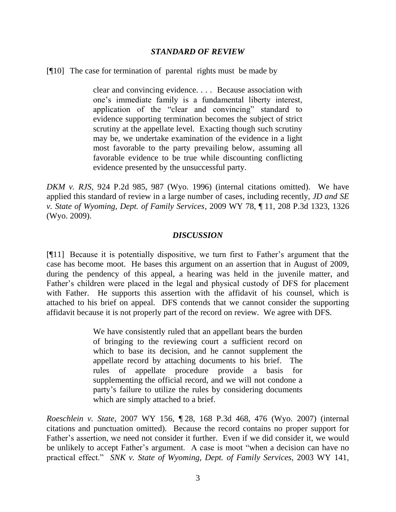### *STANDARD OF REVIEW*

[¶10] The case for termination of parental rights must be made by

clear and convincing evidence. . . . Because association with one's immediate family is a fundamental liberty interest, application of the "clear and convincing" standard to evidence supporting termination becomes the subject of strict scrutiny at the appellate level. Exacting though such scrutiny may be, we undertake examination of the evidence in a light most favorable to the party prevailing below, assuming all favorable evidence to be true while discounting conflicting evidence presented by the unsuccessful party.

*DKM v. RJS*, 924 P.2d 985, 987 (Wyo. 1996) (internal citations omitted). We have applied this standard of review in a large number of cases, including recently, *JD and SE v. State of Wyoming, Dept. of Family Services*, 2009 WY 78, ¶ 11, 208 P.3d 1323, 1326 (Wyo. 2009).

### *DISCUSSION*

[¶11] Because it is potentially dispositive, we turn first to Father's argument that the case has become moot. He bases this argument on an assertion that in August of 2009, during the pendency of this appeal, a hearing was held in the juvenile matter, and Father's children were placed in the legal and physical custody of DFS for placement with Father. He supports this assertion with the affidavit of his counsel, which is attached to his brief on appeal. DFS contends that we cannot consider the supporting affidavit because it is not properly part of the record on review. We agree with DFS.

> We have consistently ruled that an appellant bears the burden of bringing to the reviewing court a sufficient record on which to base its decision, and he cannot supplement the appellate record by attaching documents to his brief. The rules of appellate procedure provide a basis for supplementing the official record, and we will not condone a party's failure to utilize the rules by considering documents which are simply attached to a brief.

*Roeschlein v. State*, 2007 WY 156, ¶ 28, 168 P.3d 468, 476 (Wyo. 2007) (internal citations and punctuation omitted). Because the record contains no proper support for Father's assertion, we need not consider it further. Even if we did consider it, we would be unlikely to accept Father's argument. A case is moot "when a decision can have no practical effect." *SNK v. State of Wyoming, Dept. of Family Services*, 2003 WY 141,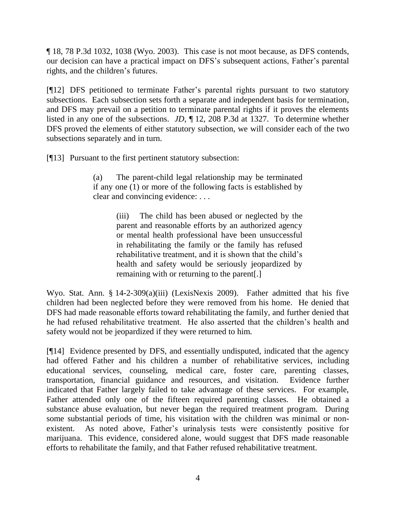¶ 18, 78 P.3d 1032, 1038 (Wyo. 2003). This case is not moot because, as DFS contends, our decision can have a practical impact on DFS's subsequent actions, Father's parental rights, and the children's futures.

[¶12] DFS petitioned to terminate Father's parental rights pursuant to two statutory subsections. Each subsection sets forth a separate and independent basis for termination, and DFS may prevail on a petition to terminate parental rights if it proves the elements listed in any one of the subsections. *JD*, ¶ 12, 208 P.3d at 1327. To determine whether DFS proved the elements of either statutory subsection, we will consider each of the two subsections separately and in turn.

[¶13] Pursuant to the first pertinent statutory subsection:

(a) The parent-child legal relationship may be terminated if any one (1) or more of the following facts is established by clear and convincing evidence: . . .

> (iii) The child has been abused or neglected by the parent and reasonable efforts by an authorized agency or mental health professional have been unsuccessful in rehabilitating the family or the family has refused rehabilitative treatment, and it is shown that the child's health and safety would be seriously jeopardized by remaining with or returning to the parent[.]

Wyo. Stat. Ann. § 14-2-309(a)(iii) (LexisNexis 2009). Father admitted that his five children had been neglected before they were removed from his home. He denied that DFS had made reasonable efforts toward rehabilitating the family, and further denied that he had refused rehabilitative treatment. He also asserted that the children's health and safety would not be jeopardized if they were returned to him.

[¶14] Evidence presented by DFS, and essentially undisputed, indicated that the agency had offered Father and his children a number of rehabilitative services, including educational services, counseling, medical care, foster care, parenting classes, transportation, financial guidance and resources, and visitation. Evidence further indicated that Father largely failed to take advantage of these services. For example, Father attended only one of the fifteen required parenting classes. He obtained a substance abuse evaluation, but never began the required treatment program. During some substantial periods of time, his visitation with the children was minimal or nonexistent. As noted above, Father's urinalysis tests were consistently positive for marijuana. This evidence, considered alone, would suggest that DFS made reasonable efforts to rehabilitate the family, and that Father refused rehabilitative treatment.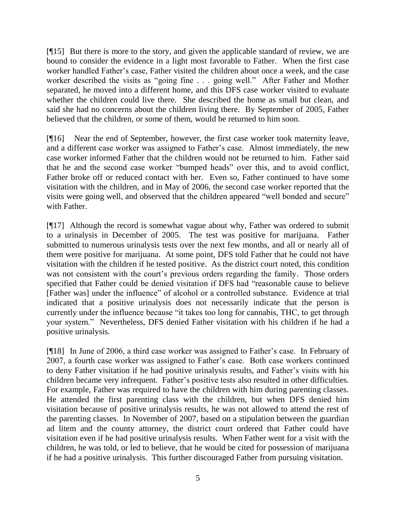[¶15] But there is more to the story, and given the applicable standard of review, we are bound to consider the evidence in a light most favorable to Father. When the first case worker handled Father's case, Father visited the children about once a week, and the case worker described the visits as "going fine . . . going well." After Father and Mother separated, he moved into a different home, and this DFS case worker visited to evaluate whether the children could live there. She described the home as small but clean, and said she had no concerns about the children living there. By September of 2005, Father believed that the children, or some of them, would be returned to him soon.

[¶16] Near the end of September, however, the first case worker took maternity leave, and a different case worker was assigned to Father's case. Almost immediately, the new case worker informed Father that the children would not be returned to him. Father said that he and the second case worker "bumped heads" over this, and to avoid conflict, Father broke off or reduced contact with her. Even so, Father continued to have some visitation with the children, and in May of 2006, the second case worker reported that the visits were going well, and observed that the children appeared "well bonded and secure" with Father.

[¶17] Although the record is somewhat vague about why, Father was ordered to submit to a urinalysis in December of 2005. The test was positive for marijuana. Father submitted to numerous urinalysis tests over the next few months, and all or nearly all of them were positive for marijuana. At some point, DFS told Father that he could not have visitation with the children if he tested positive. As the district court noted, this condition was not consistent with the court's previous orders regarding the family. Those orders specified that Father could be denied visitation if DFS had "reasonable cause to believe [Father was] under the influence" of alcohol or a controlled substance. Evidence at trial indicated that a positive urinalysis does not necessarily indicate that the person is currently under the influence because "it takes too long for cannabis, THC, to get through your system." Nevertheless, DFS denied Father visitation with his children if he had a positive urinalysis.

[¶18] In June of 2006, a third case worker was assigned to Father's case. In February of 2007, a fourth case worker was assigned to Father's case. Both case workers continued to deny Father visitation if he had positive urinalysis results, and Father's visits with his children became very infrequent. Father's positive tests also resulted in other difficulties. For example, Father was required to have the children with him during parenting classes. He attended the first parenting class with the children, but when DFS denied him visitation because of positive urinalysis results, he was not allowed to attend the rest of the parenting classes. In November of 2007, based on a stipulation between the guardian ad litem and the county attorney, the district court ordered that Father could have visitation even if he had positive urinalysis results. When Father went for a visit with the children, he was told, or led to believe, that he would be cited for possession of marijuana if he had a positive urinalysis. This further discouraged Father from pursuing visitation.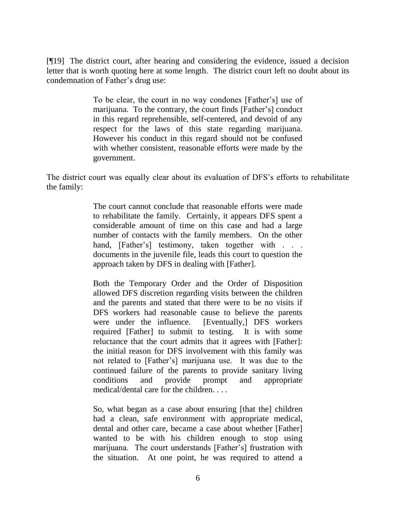[¶19] The district court, after hearing and considering the evidence, issued a decision letter that is worth quoting here at some length. The district court left no doubt about its condemnation of Father's drug use:

> To be clear, the court in no way condones [Father's] use of marijuana. To the contrary, the court finds [Father's] conduct in this regard reprehensible, self-centered, and devoid of any respect for the laws of this state regarding marijuana. However his conduct in this regard should not be confused with whether consistent, reasonable efforts were made by the government.

The district court was equally clear about its evaluation of DFS's efforts to rehabilitate the family:

> The court cannot conclude that reasonable efforts were made to rehabilitate the family. Certainly, it appears DFS spent a considerable amount of time on this case and had a large number of contacts with the family members. On the other hand, [Father's] testimony, taken together with . . . documents in the juvenile file, leads this court to question the approach taken by DFS in dealing with [Father].

> Both the Temporary Order and the Order of Disposition allowed DFS discretion regarding visits between the children and the parents and stated that there were to be no visits if DFS workers had reasonable cause to believe the parents were under the influence. [Eventually,] DFS workers required [Father] to submit to testing. It is with some reluctance that the court admits that it agrees with [Father]: the initial reason for DFS involvement with this family was not related to [Father's] marijuana use. It was due to the continued failure of the parents to provide sanitary living conditions and provide prompt and appropriate medical/dental care for the children. . . .

> So, what began as a case about ensuring [that the] children had a clean, safe environment with appropriate medical, dental and other care, became a case about whether [Father] wanted to be with his children enough to stop using marijuana. The court understands [Father's] frustration with the situation. At one point, he was required to attend a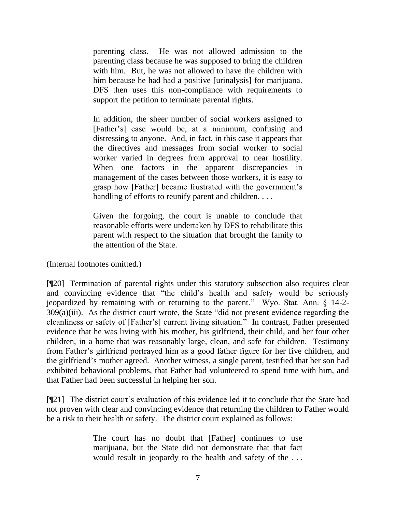parenting class. He was not allowed admission to the parenting class because he was supposed to bring the children with him. But, he was not allowed to have the children with him because he had had a positive [urinalysis] for marijuana. DFS then uses this non-compliance with requirements to support the petition to terminate parental rights.

In addition, the sheer number of social workers assigned to [Father's] case would be, at a minimum, confusing and distressing to anyone. And, in fact, in this case it appears that the directives and messages from social worker to social worker varied in degrees from approval to near hostility. When one factors in the apparent discrepancies in management of the cases between those workers, it is easy to grasp how [Father] became frustrated with the government's handling of efforts to reunify parent and children. . . .

Given the forgoing, the court is unable to conclude that reasonable efforts were undertaken by DFS to rehabilitate this parent with respect to the situation that brought the family to the attention of the State.

(Internal footnotes omitted.)

[¶20] Termination of parental rights under this statutory subsection also requires clear and convincing evidence that "the child's health and safety would be seriously jeopardized by remaining with or returning to the parent." Wyo. Stat. Ann. § 14-2- 309(a)(iii). As the district court wrote, the State "did not present evidence regarding the cleanliness or safety of [Father's] current living situation." In contrast, Father presented evidence that he was living with his mother, his girlfriend, their child, and her four other children, in a home that was reasonably large, clean, and safe for children. Testimony from Father's girlfriend portrayed him as a good father figure for her five children, and the girlfriend's mother agreed. Another witness, a single parent, testified that her son had exhibited behavioral problems, that Father had volunteered to spend time with him, and that Father had been successful in helping her son.

[¶21] The district court's evaluation of this evidence led it to conclude that the State had not proven with clear and convincing evidence that returning the children to Father would be a risk to their health or safety. The district court explained as follows:

> The court has no doubt that [Father] continues to use marijuana, but the State did not demonstrate that that fact would result in jeopardy to the health and safety of the . . .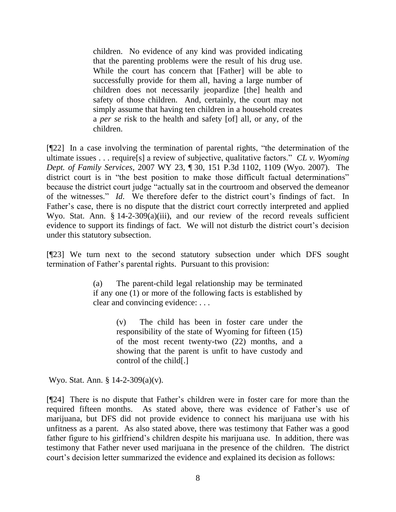children. No evidence of any kind was provided indicating that the parenting problems were the result of his drug use. While the court has concern that [Father] will be able to successfully provide for them all, having a large number of children does not necessarily jeopardize [the] health and safety of those children. And, certainly, the court may not simply assume that having ten children in a household creates a *per se* risk to the health and safety [of] all, or any, of the children.

[¶22] In a case involving the termination of parental rights, "the determination of the ultimate issues . . . require[s] a review of subjective, qualitative factors." *CL v. Wyoming Dept. of Family Services*, 2007 WY 23, ¶ 30, 151 P.3d 1102, 1109 (Wyo. 2007). The district court is in "the best position to make those difficult factual determinations" because the district court judge "actually sat in the courtroom and observed the demeanor of the witnesses." *Id*. We therefore defer to the district court's findings of fact. In Father's case, there is no dispute that the district court correctly interpreted and applied Wyo. Stat. Ann. § 14-2-309(a)(iii), and our review of the record reveals sufficient evidence to support its findings of fact. We will not disturb the district court's decision under this statutory subsection.

[¶23] We turn next to the second statutory subsection under which DFS sought termination of Father's parental rights. Pursuant to this provision:

> (a) The parent-child legal relationship may be terminated if any one (1) or more of the following facts is established by clear and convincing evidence: . . .

> > (v) The child has been in foster care under the responsibility of the state of Wyoming for fifteen (15) of the most recent twenty-two (22) months, and a showing that the parent is unfit to have custody and control of the child[.]

Wyo. Stat. Ann. § 14-2-309(a)(v).

[¶24] There is no dispute that Father's children were in foster care for more than the required fifteen months. As stated above, there was evidence of Father's use of marijuana, but DFS did not provide evidence to connect his marijuana use with his unfitness as a parent. As also stated above, there was testimony that Father was a good father figure to his girlfriend's children despite his marijuana use. In addition, there was testimony that Father never used marijuana in the presence of the children. The district court's decision letter summarized the evidence and explained its decision as follows: